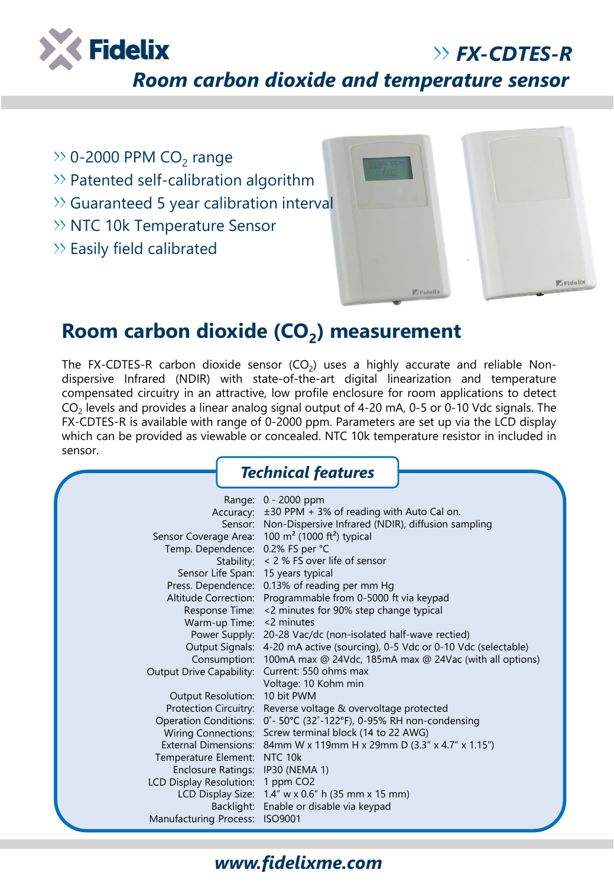

## *FX-CDTES-R*

*Room carbon dioxide and temperature sensor*

- 0-2000 PPM  $CO_2$  range
- $\gg$  Patented self-calibration algorithm
- Guaranteed 5 year calibration interval
- $\gg$  NTC 10k Temperature Sensor
- $\gg$  Easily field calibrated



# **Room carbon dioxide (CO<sup>2</sup> ) measurement**

The FX-CDTES-R carbon dioxide sensor  $(CO_2)$  uses a highly accurate and reliable Nondispersive Infrared (NDIR) with state-of-the-art digital linearization and temperature compensated circuitry in an attractive, low profile enclosure for room applications to detect  $\mathsf{CO}_2$  levels and provides a linear analog signal output of 4-20 mA, 0-5 or 0-10 Vdc signals. The FX-CDTES-R is available with range of 0-2000 ppm. Parameters are set up via the LCD display which can be provided as viewable or concealed. NTC 10k temperature resistor in included in sensor.

|                                                     | <b>Technical features</b>                                                   |  |  |
|-----------------------------------------------------|-----------------------------------------------------------------------------|--|--|
|                                                     | Range: 0 - 2000 ppm<br>Accuracy: ±30 PPM + 3% of reading with Auto Cal on.  |  |  |
|                                                     | Sensor: Non-Dispersive Infrared (NDIR), diffusion sampling                  |  |  |
|                                                     | Sensor Coverage Area: 100 m <sup>2</sup> (1000 ft <sup>2</sup> ) typical    |  |  |
| Temp. Dependence: 0.2% FS per °C                    |                                                                             |  |  |
|                                                     | Stability: < 2 % FS over life of sensor                                     |  |  |
| Sensor Life Span: 15 years typical                  |                                                                             |  |  |
| Press. Dependence:                                  | 0.13% of reading per mm Hg                                                  |  |  |
|                                                     | Altitude Correction: Programmable from 0-5000 ft via keypad                 |  |  |
| Response Time:                                      | <2 minutes for 90% step change typical                                      |  |  |
| Warm-up Time: < 2 minutes                           |                                                                             |  |  |
| Power Supply:                                       | 20-28 Vac/dc (non-isolated half-wave rectied)                               |  |  |
|                                                     | Output Signals: 4-20 mA active (sourcing), 0-5 Vdc or 0-10 Vdc (selectable) |  |  |
|                                                     | Consumption: 100mA max @ 24Vdc, 185mA max @ 24Vac (with all options)        |  |  |
|                                                     | Output Drive Capability: Current: 550 ohms max                              |  |  |
|                                                     | Voltage: 10 Kohm min                                                        |  |  |
| Output Resolution:                                  | 10 bit PWM                                                                  |  |  |
| Protection Circuitry:                               | Reverse voltage & overvoltage protected                                     |  |  |
| <b>Operation Conditions:</b>                        | 0°- 50°C (32°-122°F), 0-95% RH non-condensing                               |  |  |
| <b>Wiring Connections:</b>                          | Screw terminal block (14 to 22 AWG)                                         |  |  |
| External Dimensions:                                | 84mm W x 119mm H x 29mm D (3.3" x 4.7" x 1.15")                             |  |  |
| Temperature Element:                                | NTC 10k                                                                     |  |  |
| <b>Enclosure Ratings:</b>                           | <b>IP30 (NEMA 1)</b>                                                        |  |  |
| <b>LCD Display Resolution:</b><br>LCD Display Size: | 1 ppm CO <sub>2</sub><br>$1.4''$ w x 0.6" h (35 mm x 15 mm)                 |  |  |
| Backlight:                                          | Enable or disable via keypad                                                |  |  |
| <b>Manufacturing Process:</b>                       | <b>ISO9001</b>                                                              |  |  |

#### *www.fidelixme.com*